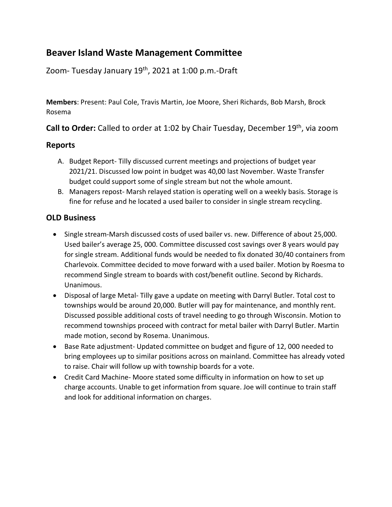## **Beaver Island Waste Management Committee**

Zoom- Tuesday January 19<sup>th</sup>, 2021 at 1:00 p.m.-Draft

**Members**: Present: Paul Cole, Travis Martin, Joe Moore, Sheri Richards, Bob Marsh, Brock Rosema

**Call to Order:** Called to order at 1:02 by Chair Tuesday, December 19<sup>th</sup>, via zoom

## **Reports**

- A. Budget Report- Tilly discussed current meetings and projections of budget year 2021/21. Discussed low point in budget was 40,00 last November. Waste Transfer budget could support some of single stream but not the whole amount.
- B. Managers repost- Marsh relayed station is operating well on a weekly basis. Storage is fine for refuse and he located a used bailer to consider in single stream recycling.

## **OLD Business**

- Single stream-Marsh discussed costs of used bailer vs. new. Difference of about 25,000. Used bailer's average 25, 000. Committee discussed cost savings over 8 years would pay for single stream. Additional funds would be needed to fix donated 30/40 containers from Charlevoix. Committee decided to move forward with a used bailer. Motion by Roesma to recommend Single stream to boards with cost/benefit outline. Second by Richards. Unanimous.
- Disposal of large Metal- Tilly gave a update on meeting with Darryl Butler. Total cost to townships would be around 20,000. Butler will pay for maintenance, and monthly rent. Discussed possible additional costs of travel needing to go through Wisconsin. Motion to recommend townships proceed with contract for metal bailer with Darryl Butler. Martin made motion, second by Rosema. Unanimous.
- Base Rate adjustment- Updated committee on budget and figure of 12, 000 needed to bring employees up to similar positions across on mainland. Committee has already voted to raise. Chair will follow up with township boards for a vote.
- Credit Card Machine- Moore stated some difficulty in information on how to set up charge accounts. Unable to get information from square. Joe will continue to train staff and look for additional information on charges.